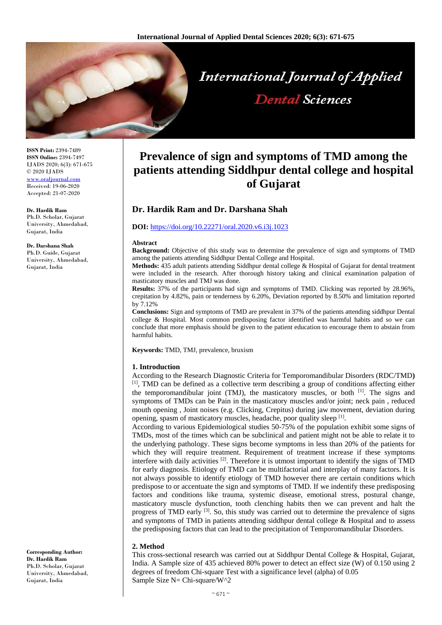

**ISSN Print:** 2394-7489 **ISSN Online:** 2394-7497 IJADS 2020; 6(3): 671-675 © 2020 IJADS <www.oraljournal.com> Received: 19-06-2020 Accepted: 21-07-2020

**Dr. Hardik Ram** Ph.D. Scholar, Gujarat University, Ahmedabad, Gujarat, India

**Dr. Darshana Shah** Ph.D. Guide, Gujarat University, Ahmedabad, Gujarat, India

#### **Corresponding Author: Dr. Hardik Ram** Ph.D. Scholar, Gujarat University, Ahmedabad, Gujarat, India

# **Prevalence of sign and symptoms of TMD among the patients attending Siddhpur dental college and hospital of Gujarat**

# **Dr. Hardik Ram and Dr. Darshana Shah**

#### **DOI:** <https://doi.org/10.22271/oral.2020.v6.i3j.1023>

#### **Abstract**

**Background:** Objective of this study was to determine the prevalence of sign and symptoms of TMD among the patients attending Siddhpur Dental College and Hospital.

**Methods:** 435 adult patients attending Siddhpur dental college & Hospital of Gujarat for dental treatment were included in the research. After thorough history taking and clinical examination palpation of masticatory muscles and TMJ was done.

**Results:** 37% of the participants had sign and symptoms of TMD. Clicking was reported by 28.96%, crepitation by 4.82%, pain or tenderness by 6.20%, Deviation reported by 8.50% and limitation reported by 7.12%

**Conclusions:** Sign and symptoms of TMD are prevalent in 37% of the patients attending siddhpur Dental college & Hospital. Most common predisposing factor identified was harmful habits and so we can conclude that more emphasis should be given to the patient education to encourage them to abstain from harmful habits.

**Keywords:** TMD, TMJ, prevalence, bruxism

#### **1. Introduction**

According to the Research Diagnostic Criteria for Temporomandibular Disorders (RDC/TMD**)** [1], TMD can be defined as a collective term describing a group of conditions affecting either the temporomandibular joint (TMJ), the masticatory muscles, or both  $\left[1\right]$ . The signs and symptoms of TMDs can be Pain in the masticatory muscles and/or joint; neck pain , reduced mouth opening , Joint noises (e.g. Clicking, Crepitus) during jaw movement, deviation during opening, spasm of masticatory muscles, headache, poor quality sleep [1].

According to various Epidemiological studies 50-75% of the population exhibit some signs of TMDs, most of the times which can be subclinical and patient might not be able to relate it to the underlying pathology. These signs become symptoms in less than 20% of the patients for which they will require treatment. Requirement of treatment increase if these symptoms interfere with daily activities [2]. Therefore it is utmost important to identify the signs of TMD for early diagnosis. Etiology of TMD can be multifactorial and interplay of many factors. It is not always possible to identify etiology of TMD however there are certain conditions which predispose to or accentuate the sign and symptoms of TMD. If we indentify these predisposing factors and conditions like trauma, systemic disease, emotional stress, postural change, masticatory muscle dysfunction, tooth clenching habits then we can prevent and halt the progress of TMD early <sup>[3]</sup>. So, this study was carried out to determine the prevalence of signs and symptoms of TMD in patients attending siddhpur dental college & Hospital and to assess the predisposing factors that can lead to the precipitation of Temporomandibular Disorders.

### **2. Method**

This cross-sectional research was carried out at Siddhpur Dental College & Hospital, Gujarat, India. A Sample size of 435 achieved 80% power to detect an effect size (W) of 0.150 using 2 degrees of freedom Chi-square Test with a significance level (alpha) of 0.05 Sample Size N= Chi-square/W^2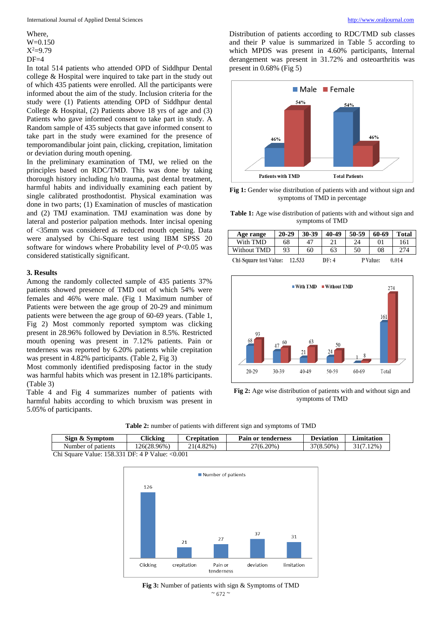Where, W=0.150  $X^2=9.79$  $DF=4$ 

In total 514 patients who attended OPD of Siddhpur Dental college & Hospital were inquired to take part in the study out of which 435 patients were enrolled. All the participants were informed about the aim of the study. Inclusion criteria for the study were (1) Patients attending OPD of Siddhpur dental College & Hospital, (2) Patients above 18 yrs of age and (3) Patients who gave informed consent to take part in study. A Random sample of 435 subjects that gave informed consent to take part in the study were examined for the presence of temporomandibular joint pain, clicking, crepitation, limitation or deviation during mouth opening.

In the preliminary examination of TMJ, we relied on the principles based on RDC/TMD. This was done by taking thorough history including h/o trauma, past dental treatment, harmful habits and individually examining each patient by single calibrated prosthodontist. Physical examination was done in two parts; (1) Examination of muscles of mastication and (2) TMJ examination. TMJ examination was done by lateral and posterior palpation methods. Inter incisal opening of <35mm was considered as reduced mouth opening. Data were analysed by Chi-Square test using IBM SPSS 20 software for windows where Probability level of *P*<0.05 was considered statistically significant.

#### **3. Results**

Among the randomly collected sample of 435 patients 37% patients showed presence of TMD out of which 54% were females and 46% were male. (Fig 1 Maximum number of Patients were between the age group of 20-29 and minimum patients were between the age group of 60-69 years. (Table 1, Fig 2) Most commonly reported symptom was clicking present in 28.96% followed by Deviation in 8.5%. Restricted mouth opening was present in 7.12% patients. Pain or tenderness was reported by 6.20% patients while crepitation was present in 4.82% participants. (Table 2, Fig 3)

Most commonly identified predisposing factor in the study was harmful habits which was present in 12.18% participants. (Table 3)

Table 4 and Fig 4 summarizes number of patients with harmful habits according to which bruxism was present in 5.05% of participants.

Distribution of patients according to RDC/TMD sub classes and their P value is summarized in Table 5 according to which MPDS was present in 4.60% participants, Internal derangement was present in 31.72% and osteoarthritis was present in 0.68% (Fig 5)



**Fig 1:** Gender wise distribution of patients with and without sign and symptoms of TMD in percentage

**Table 1:** Age wise distribution of patients with and without sign and symptoms of TMD

| Age range                                                             | $20 - 29$ | 30-39 | 40-49 | 50-59 | 60-69    | <b>Total</b> |
|-----------------------------------------------------------------------|-----------|-------|-------|-------|----------|--------------|
| With TMD                                                              | 68        | 47    | 21    | 24    | $\Omega$ | 161          |
| Without TMD                                                           | 93        | 60    | 63    | 50    | 08       | 274          |
| <b>Chi-Square test Value:</b><br>12.533<br>DF: 4<br>P Value:<br>0.014 |           |       |       |       |          |              |



**Fig 2:** Age wise distribution of patients with and without sign and symptoms of TMD

| Sign & Symptom                                  | Clicking    | <b>Crepitation</b> | <b>Pain or tenderness</b> | <b>Deviation</b> | <b>Limitation</b> |  |
|-------------------------------------------------|-------------|--------------------|---------------------------|------------------|-------------------|--|
| Number of patients                              | 126(28.96%) | 21(4.82%)          | $27(6.20\%)$              | 37(8.50%)        | 31(7.12%)         |  |
| Chi Square Value: 158.331 DF: 4 P Value: <0.001 |             |                    |                           |                  |                   |  |

**Table 2:** number of patients with different sign and symptoms of TMD



 $~^{\sim}$  672  $~^{\sim}$ **Fig 3:** Number of patients with sign & Symptoms of TMD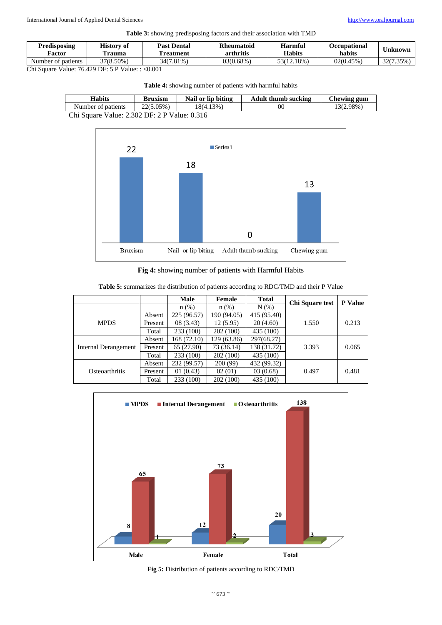**Table 3:** showing predisposing factors and their association with TMD

| Predisposing       | <b>History of</b> | <b>Past Dental</b> | <b>Rheumatoid</b> | <b>Harmful</b> | <b>Occupational</b> | Jnknown   |
|--------------------|-------------------|--------------------|-------------------|----------------|---------------------|-----------|
| Factor             | l'rauma           | l'reatment         | arthritis         | <b>Habits</b>  | habits              |           |
| Number of patients | 37(8.50%)         | 34(7.81%)          | 03(0.68%)         | 53(12.18%)     | 02(0.45%)           | 32(7.35%) |

Chi Square Value: 76.429 DF: 5 P Value: : <0.001

**Table 4:** showing number of patients with harmful habits

| <b>Habits</b>                                | <b>Bruxism</b> | Nail or lip biting | <b>Adult thumb sucking</b> | Chewing gum |  |
|----------------------------------------------|----------------|--------------------|----------------------------|-------------|--|
| Number of patients                           | $22(5.05\%)$   | 18(4.13%)          | 0C                         | 13(2.98%)   |  |
| Chi Square Value: 2.302 DF: 2 P Value: 0.316 |                |                    |                            |             |  |



**Fig 4:** showing number of patients with Harmful Habits

|                       |         | <b>Male</b> | Female      | <b>Total</b> | Chi Square test | <b>P</b> Value |
|-----------------------|---------|-------------|-------------|--------------|-----------------|----------------|
|                       |         | $n$ $(\%)$  | $n$ $(\%)$  | N(% )        |                 |                |
| <b>MPDS</b>           | Absent  | 225 (96.57) | 190 (94.05) | 415 (95.40)  |                 |                |
|                       | Present | 08(3.43)    | 12 (5.95)   | 20(4.60)     | 1.550           | 0.213          |
|                       | Total   | 233 (100)   | 202 (100)   | 435 (100)    |                 |                |
| Internal Derangement  | Absent  | 168 (72.10) | 129 (63.86) | 297(68.27)   |                 |                |
|                       | Present | 65 (27.90)  | 73 (36.14)  | 138 (31.72)  | 3.393           | 0.065          |
|                       | Total   | 233 (100)   | 202 (100)   | 435 (100)    |                 |                |
| <b>Osteoarthritis</b> | Absent  | 232 (99.57) | 200 (99)    | 432 (99.32)  |                 |                |
|                       | Present | 01(0.43)    | 02(01)      | 03(0.68)     | 0.497           | 0.481          |
|                       | Total   | 233 (100)   | 202 (100)   | 435 (100)    |                 |                |

**Table 5:** summarizes the distribution of patients according to RDC/TMD and their P Value



**Fig 5:** Distribution of patients according to RDC/TMD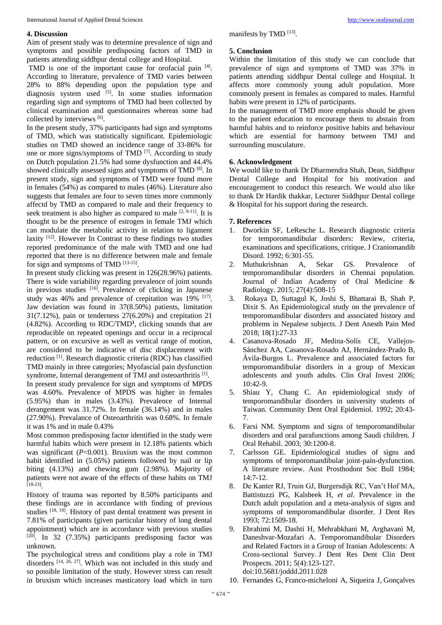# **4. Discussion**

Aim of present study was to determine prevalence of sign and symptoms and possible predisposing factors of TMD in patients attending siddhpur dental college and Hospital.

TMD is one of the important cause for orofacial pain [4]. According to literature, prevalence of TMD varies between 28% to 88% depending upon the population type and diagnosis system used <sup>[5]</sup>. In some studies information regarding sign and symptoms of TMD had been collected by clinical examination and questionnaires whereas some had collected by interviews [6].

In the present study, 37% participants had sign and symptoms of TMD, which was statistically significant. Epidemiologic studies on TMD showed an incidence range of 33-86% for one or more signs/symptoms of TMD<sup>[7]</sup>. According to study on Dutch population 21.5% had some dysfunction and 44.4% showed clinically assessed signs and symptoms of TMD<sup>[8]</sup>. In present study, sign and symptoms of TMD were found more in females (54%) as compared to males (46%). Literature also suggests that females are four to seven times more commonly affectd by TMD as compared to male and their frequency to seek treatment is also higher as compared to male  $[2, 9-11]$ . It is thought to be the presence of estrogen in female TMJ which can modulate the metabolic activity in relation to ligament laxity <sup>[12]</sup>. However In Contrast to these findings two studies reported predominance of the male with TMD and one had reported that there is no difference between male and female for sign and symptoms of TMD [13-15].

In present study clicking was present in 126(28.96%) patients. There is wide variability regarding prevalence of joint sounds in previous studies [16]. Prevalence of clicking in Japanese study was 46% and prevalence of crepitation was 19% <sup>[17]</sup>. Jaw deviation was found in 37(8.50%) patients, limitation 31(7.12%), pain or tenderness 27(6.20%) and crepitation 21 (4.82%). According to RDC/TMD**<sup>1</sup>** , clicking sounds that are reproducible on repeated openings and occur in a reciprocal pattern, or on excursive as well as vertical range of motion, are considered to be indicative of disc displacement with reduction<sup>[1]</sup>. Research diagnostic criteria (RDC) has classified TMD mainly in three categories; Myofascial pain dysfunction syndrome, Internal derangement of TMJ and osteoarthritis<sup>[1]</sup>. In present study prevalence for sign and symptoms of MPDS was 4.60%. Prevalence of MPDS was higher in females (5.95%) than in males (3.43%). Prevalence of Internal derangement was 31.72%. In female (36.14%) and in males (27.90%). Prevalance of Osteoarthritis was 0.68%. In female it was 1% and in male 0.43%

Most common predisposing factor identified in the study were harmful habits which were present in 12.18% patients which was significant (*P*<0.001). Bruxism was the most common habit identified in  $(5.05\%)$  patients followed by nail or lip biting (4.13%) and chewing gum (2.98%). Majority of patients were not aware of the effects of these habits on TMJ [18-23] .

History of trauma was reported by 8.50% participants and these findings are in accordance with finding of previous studies [18, 19]. History of past dental treatment was present in 7.81% of participants (given particular history of long dental appointment) which are in accordance with previous studies [20] . In 32 (7.35%) participants predisposing factor was unknown.

The psychological stress and conditions play a role in TMJ disorders [14, 26, 27] . Which was not included in this study and so possible limitation of the study. However stress can result in bruxism which increases masticatory load which in turn

manifests by TMD<sup>[13]</sup>.

## **5. Conclusion**

Within the limitation of this study we can conclude that prevalence of sign and symptoms of TMD was 37% in patients attending siddhpur Dental college and Hospital. It affects more commonly young adult population. More commonly present in females as compared to males. Harmful habits were present in 12% of participants.

In the management of TMD more emphasis should be given to the patient education to encourage them to abstain from harmful habits and to reinforce positive habits and behaviour which are essential for harmony between TMJ and surrounding musculature.

# **6. Acknowledgment**

We would like to thank Dr Dharmendra Shah, Dean, Siddhpur Dental College and Hospital for his motivation and encouragement to conduct this research. We would also like to thank Dr Hardik thakkar, Lecturer Siddhpur Dental college & Hospital for his support during the research.

# **7. References**

- 1. Dworkin SF, LeResche L. Research diagnostic criteria for temporomandibular disorders: Review, criteria, examinations and specifications, critique. J Craniomandib Disord. 1992; 6:301-55.
- 2. Muthukrishnan A, Sekar GS. Prevalence of temporomandibular disorders in Chennai population. Journal of Indian Academy of Oral Medicine & Radiology. 2015; 27(4):508-15
- 3. Rokaya D, Suttagul K, Joshi S, Bhattarai B, Shah P, Dixit S. An Epidemiological study on the prevalence of temporomandibular disorders and associated history and problems in Nepalese subjects. J Dent Anesth Pain Med 2018; 18(1):27-33
- 4. Casanova-Rosado JF, Medina-Solís CE, Vallejos-Sánchez AA, Casanova-Rosado AJ, Hernández-Prado B, Ávila-Burgos L. Prevalence and associated factors for temporomandibular disorders in a group of Mexican adolescents and youth adults. Clin Oral Invest 2006; 10:42-9.
- 5. Shiau Y, Chang C. An epidemiological study of temporomandibular disorders in university students of Taiwan. Community Dent Oral Epidemiol. 1992; 20:43- 7.
- 6. Farsi NM. Symptoms and signs of temporomandibular disorders and oral parafunctions among Saudi children. J Oral Rehabil. 2003; 30:1200-8.
- 7. Carlsson GE. Epidemiological studies of signs and symptoms of temporomandibular joint-pain-dysfunction. A literature review. Aust Prosthodont Soc Bull 1984; 14:7-12.
- 8. De Kanter RJ, Truin GJ, Burgersdijk RC, Van't Hof MA, Battistuzzi PG, Kalsbeek H, *et al*. Prevalence in the Dutch adult population and a meta-analysis of signs and symptoms of temporomandibular disorder. J Dent Res 1993; 72:1509-18.
- 9. Ebrahimi M, Dashti H, Mehrabkhani M, Arghavani M, Daneshvar-Mozafari A. Temporomandibular Disorders and Related Factors in a Group of Iranian Adolescents: A Cross-sectional Survey. J Dent Res Dent Clin Dent Prospects. 2011; 5(4):123-127. doi:10.5681/joddd.2011.028
- 10. Fernandes G, Franco-micheloni A, Siqueira J, Gonçalves